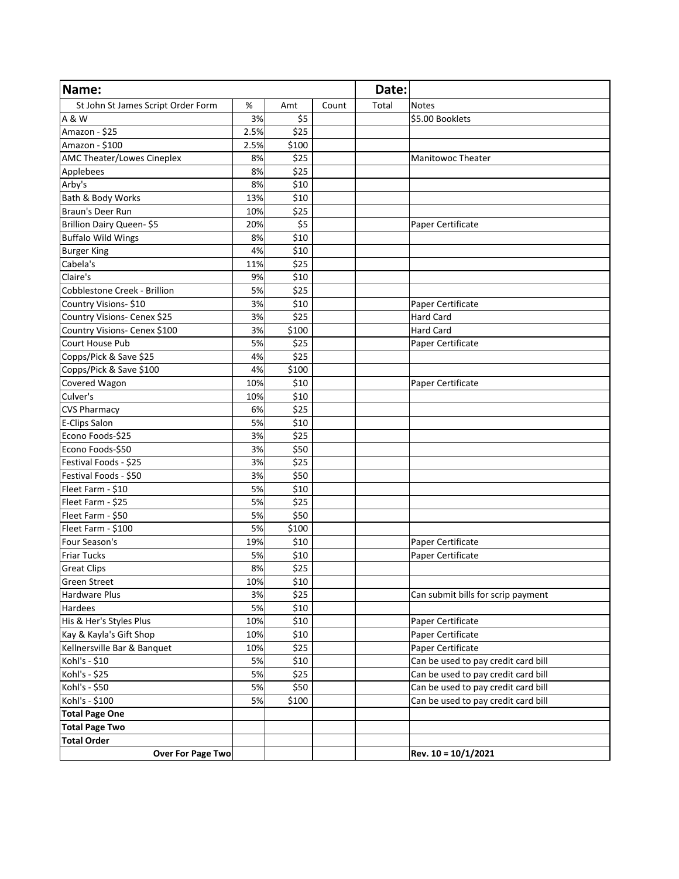| Name:                              |      |       |       | Date: |                                     |
|------------------------------------|------|-------|-------|-------|-------------------------------------|
| St John St James Script Order Form | %    | Amt   | Count | Total | <b>Notes</b>                        |
| A & W                              | 3%   | \$5   |       |       | \$5.00 Booklets                     |
| Amazon - \$25                      | 2.5% | \$25  |       |       |                                     |
| Amazon - \$100                     | 2.5% | \$100 |       |       |                                     |
| AMC Theater/Lowes Cineplex         | 8%   | \$25  |       |       | <b>Manitowoc Theater</b>            |
| Applebees                          | 8%   | \$25  |       |       |                                     |
| Arby's                             | 8%   | \$10  |       |       |                                     |
| Bath & Body Works                  | 13%  | \$10  |       |       |                                     |
| Braun's Deer Run                   | 10%  | \$25  |       |       |                                     |
| Brillion Dairy Queen-\$5           | 20%  | \$5   |       |       | Paper Certificate                   |
| <b>Buffalo Wild Wings</b>          | 8%   | \$10  |       |       |                                     |
| <b>Burger King</b>                 | 4%   | \$10  |       |       |                                     |
| Cabela's                           | 11%  | \$25  |       |       |                                     |
| Claire's                           | 9%   | \$10  |       |       |                                     |
| Cobblestone Creek - Brillion       | 5%   | \$25  |       |       |                                     |
| Country Visions-\$10               | 3%   | \$10  |       |       | Paper Certificate                   |
| Country Visions- Cenex \$25        | 3%   | \$25  |       |       | <b>Hard Card</b>                    |
| Country Visions- Cenex \$100       | 3%   | \$100 |       |       | <b>Hard Card</b>                    |
| Court House Pub                    | 5%   | \$25  |       |       | Paper Certificate                   |
| Copps/Pick & Save \$25             | 4%   | \$25  |       |       |                                     |
| Copps/Pick & Save \$100            | 4%   | \$100 |       |       |                                     |
| Covered Wagon                      | 10%  | \$10  |       |       | Paper Certificate                   |
| Culver's                           | 10%  | \$10  |       |       |                                     |
| <b>CVS Pharmacy</b>                | 6%   | \$25  |       |       |                                     |
| <b>E-Clips Salon</b>               | 5%   | \$10  |       |       |                                     |
| Econo Foods-\$25                   | 3%   | \$25  |       |       |                                     |
| Econo Foods-\$50                   | 3%   | \$50  |       |       |                                     |
| Festival Foods - \$25              | 3%   | \$25  |       |       |                                     |
| Festival Foods - \$50              | 3%   | \$50  |       |       |                                     |
| Fleet Farm - \$10                  | 5%   | \$10  |       |       |                                     |
| Fleet Farm - \$25                  | 5%   | \$25  |       |       |                                     |
| Fleet Farm - \$50                  | 5%   | \$50  |       |       |                                     |
| Fleet Farm - \$100                 | 5%   | \$100 |       |       |                                     |
| Four Season's                      | 19%  | \$10  |       |       | Paper Certificate                   |
| <b>Friar Tucks</b>                 | 5%   | \$10  |       |       | Paper Certificate                   |
| <b>Great Clips</b>                 | 8%   | \$25  |       |       |                                     |
| <b>Green Street</b>                | 10%  | \$10  |       |       |                                     |
| <b>Hardware Plus</b>               | 3%   | \$25  |       |       | Can submit bills for scrip payment  |
| Hardees                            | 5%   | \$10  |       |       |                                     |
| His & Her's Styles Plus            | 10%  | \$10  |       |       | Paper Certificate                   |
| Kay & Kayla's Gift Shop            | 10%  | \$10  |       |       | Paper Certificate                   |
| Kellnersville Bar & Banquet        | 10%  | \$25  |       |       | Paper Certificate                   |
| Kohl's - \$10                      | 5%   | \$10  |       |       | Can be used to pay credit card bill |
| Kohl's - \$25                      | 5%   | \$25  |       |       | Can be used to pay credit card bill |
| Kohl's - \$50                      | 5%   | \$50  |       |       | Can be used to pay credit card bill |
| Kohl's - \$100                     | 5%   | \$100 |       |       | Can be used to pay credit card bill |
| <b>Total Page One</b>              |      |       |       |       |                                     |
| <b>Total Page Two</b>              |      |       |       |       |                                     |
| <b>Total Order</b>                 |      |       |       |       |                                     |
| <b>Over For Page Two</b>           |      |       |       |       | Rev. 10 = 10/1/2021                 |